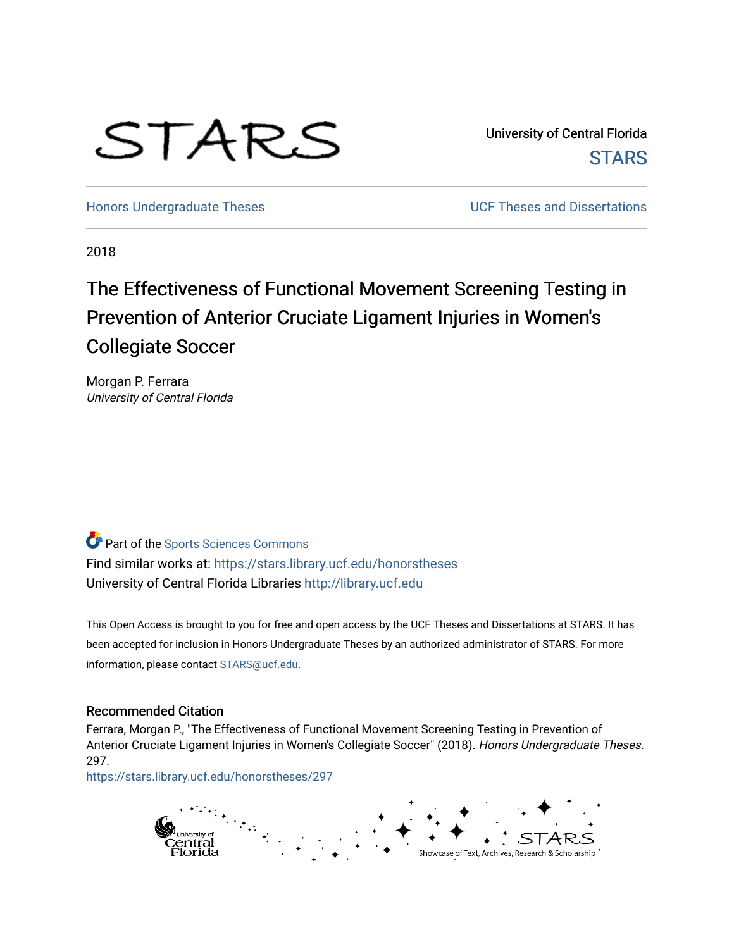# STARS

University of Central Florida **STARS** 

[Honors Undergraduate Theses](https://stars.library.ucf.edu/honorstheses) **No. 2018** UCF Theses and Dissertations

2018

# The Effectiveness of Functional Movement Screening Testing in Prevention of Anterior Cruciate Ligament Injuries in Women's Collegiate Soccer

Morgan P. Ferrara University of Central Florida

**Part of the Sports Sciences Commons** Find similar works at: <https://stars.library.ucf.edu/honorstheses> University of Central Florida Libraries [http://library.ucf.edu](http://library.ucf.edu/) 

This Open Access is brought to you for free and open access by the UCF Theses and Dissertations at STARS. It has been accepted for inclusion in Honors Undergraduate Theses by an authorized administrator of STARS. For more information, please contact [STARS@ucf.edu.](mailto:STARS@ucf.edu)

#### Recommended Citation

Ferrara, Morgan P., "The Effectiveness of Functional Movement Screening Testing in Prevention of Anterior Cruciate Ligament Injuries in Women's Collegiate Soccer" (2018). Honors Undergraduate Theses. 297.

[https://stars.library.ucf.edu/honorstheses/297](https://stars.library.ucf.edu/honorstheses/297?utm_source=stars.library.ucf.edu%2Fhonorstheses%2F297&utm_medium=PDF&utm_campaign=PDFCoverPages) 

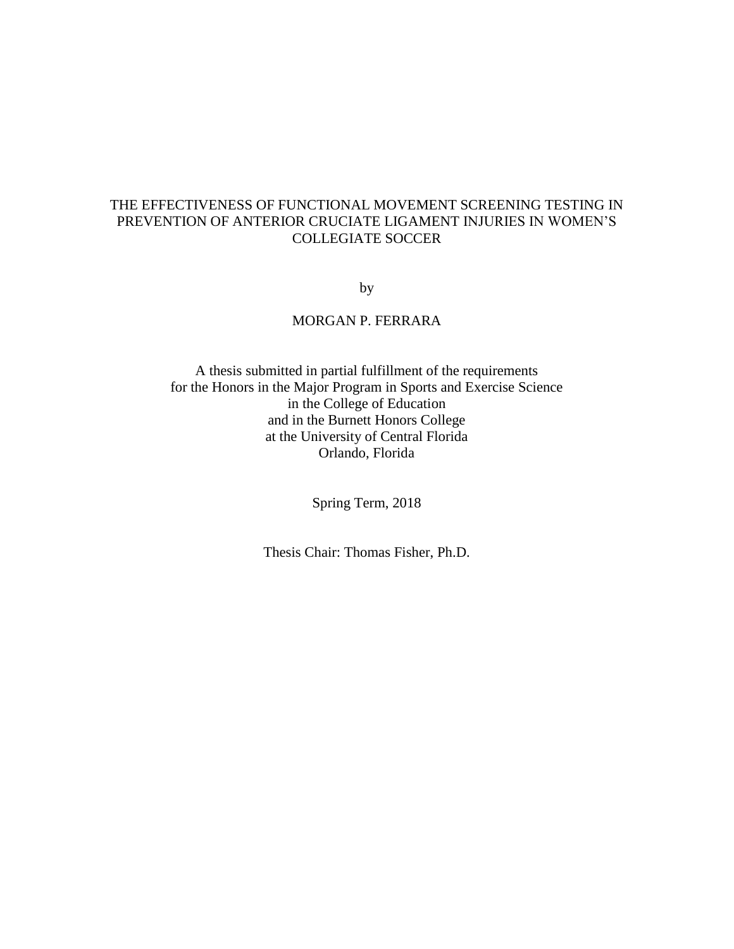## THE EFFECTIVENESS OF FUNCTIONAL MOVEMENT SCREENING TESTING IN PREVENTION OF ANTERIOR CRUCIATE LIGAMENT INJURIES IN WOMEN'S COLLEGIATE SOCCER

by

#### MORGAN P. FERRARA

A thesis submitted in partial fulfillment of the requirements for the Honors in the Major Program in Sports and Exercise Science in the College of Education and in the Burnett Honors College at the University of Central Florida Orlando, Florida

Spring Term, 2018

Thesis Chair: Thomas Fisher, Ph.D.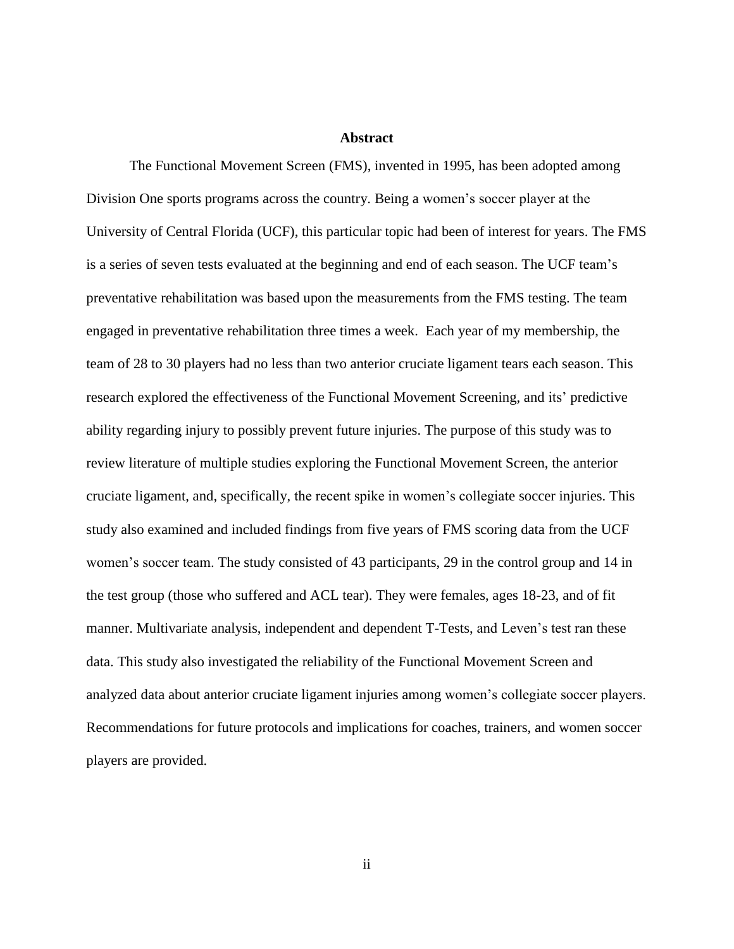#### **Abstract**

The Functional Movement Screen (FMS), invented in 1995, has been adopted among Division One sports programs across the country. Being a women's soccer player at the University of Central Florida (UCF), this particular topic had been of interest for years. The FMS is a series of seven tests evaluated at the beginning and end of each season. The UCF team's preventative rehabilitation was based upon the measurements from the FMS testing. The team engaged in preventative rehabilitation three times a week. Each year of my membership, the team of 28 to 30 players had no less than two anterior cruciate ligament tears each season. This research explored the effectiveness of the Functional Movement Screening, and its' predictive ability regarding injury to possibly prevent future injuries. The purpose of this study was to review literature of multiple studies exploring the Functional Movement Screen, the anterior cruciate ligament, and, specifically, the recent spike in women's collegiate soccer injuries. This study also examined and included findings from five years of FMS scoring data from the UCF women's soccer team. The study consisted of 43 participants, 29 in the control group and 14 in the test group (those who suffered and ACL tear). They were females, ages 18-23, and of fit manner. Multivariate analysis, independent and dependent T-Tests, and Leven's test ran these data. This study also investigated the reliability of the Functional Movement Screen and analyzed data about anterior cruciate ligament injuries among women's collegiate soccer players. Recommendations for future protocols and implications for coaches, trainers, and women soccer players are provided.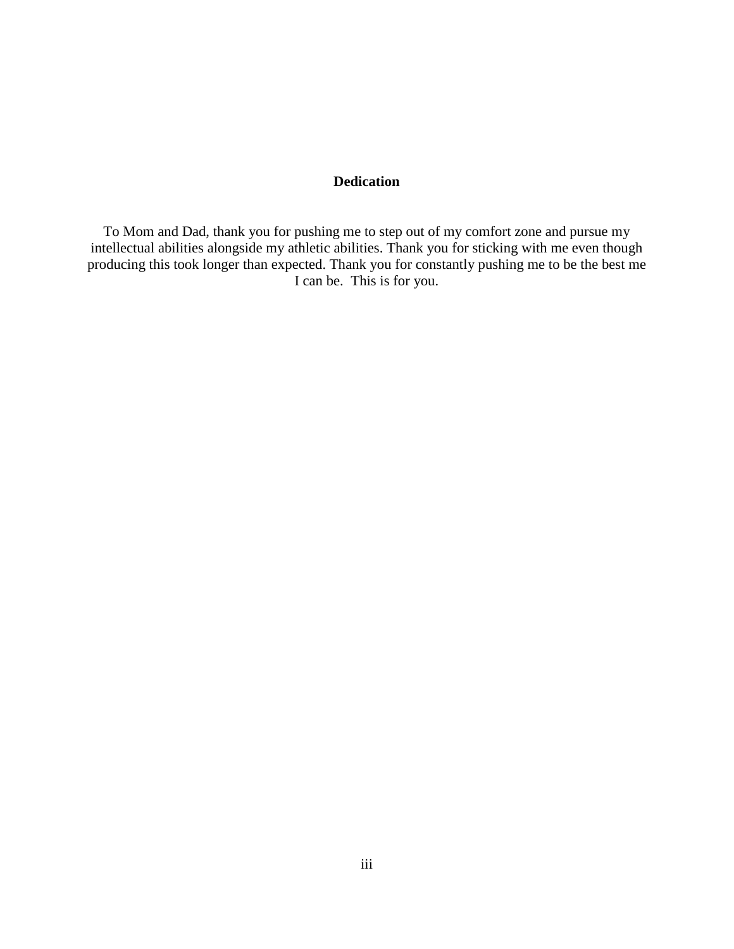#### **Dedication**

To Mom and Dad, thank you for pushing me to step out of my comfort zone and pursue my intellectual abilities alongside my athletic abilities. Thank you for sticking with me even though producing this took longer than expected. Thank you for constantly pushing me to be the best me I can be. This is for you.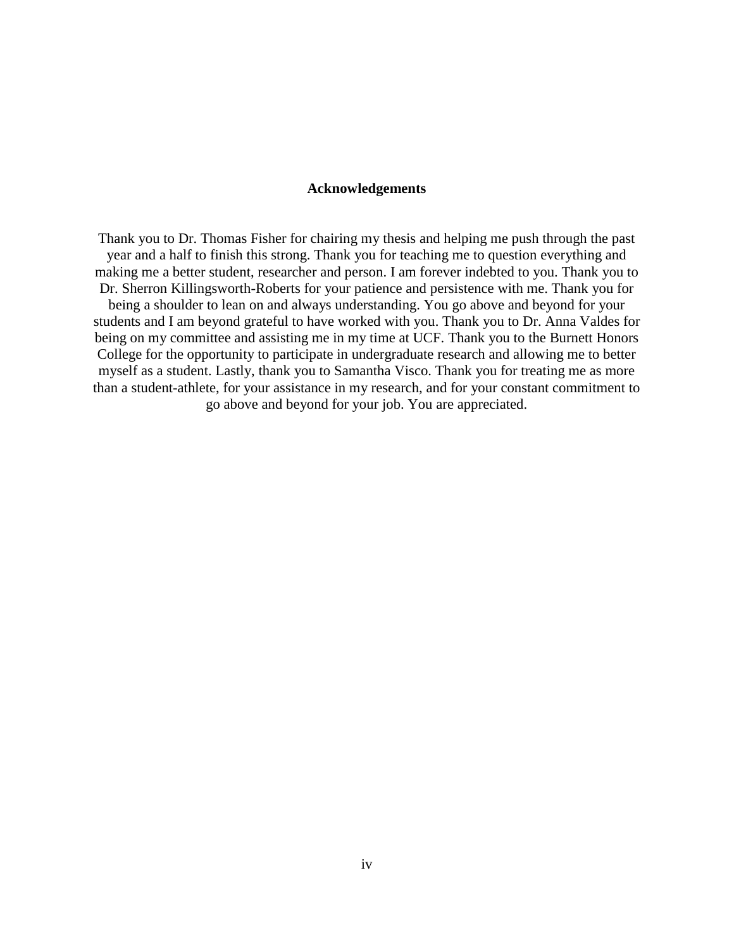#### **Acknowledgements**

Thank you to Dr. Thomas Fisher for chairing my thesis and helping me push through the past year and a half to finish this strong. Thank you for teaching me to question everything and making me a better student, researcher and person. I am forever indebted to you. Thank you to Dr. Sherron Killingsworth-Roberts for your patience and persistence with me. Thank you for being a shoulder to lean on and always understanding. You go above and beyond for your students and I am beyond grateful to have worked with you. Thank you to Dr. Anna Valdes for being on my committee and assisting me in my time at UCF. Thank you to the Burnett Honors College for the opportunity to participate in undergraduate research and allowing me to better myself as a student. Lastly, thank you to Samantha Visco. Thank you for treating me as more than a student-athlete, for your assistance in my research, and for your constant commitment to go above and beyond for your job. You are appreciated.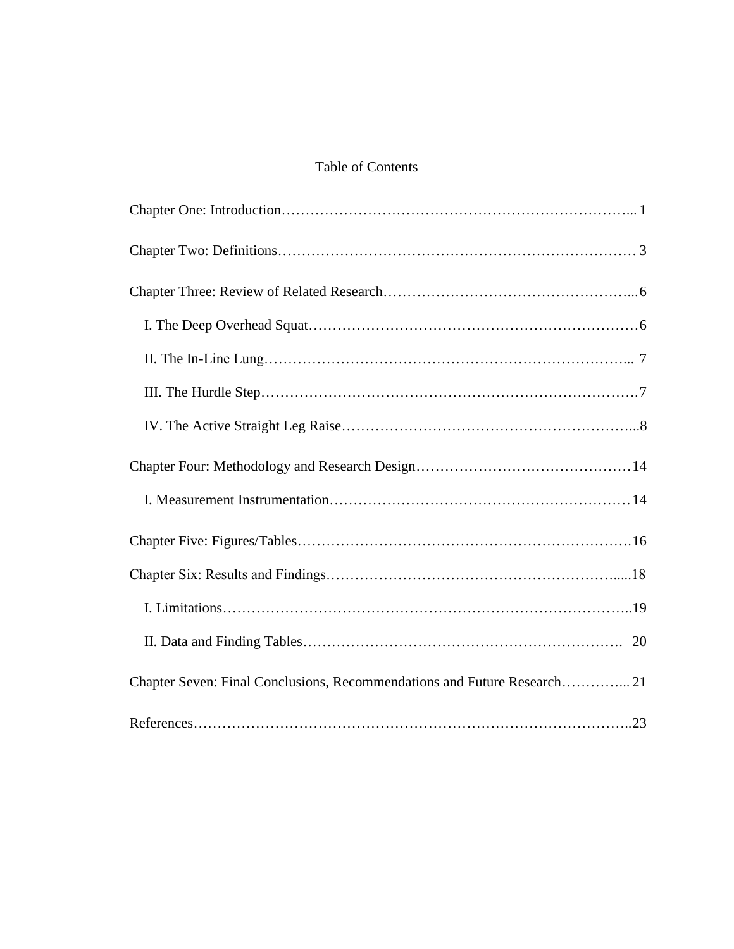## Table of Contents

| Chapter Seven: Final Conclusions, Recommendations and Future Research 21 |
|--------------------------------------------------------------------------|
|                                                                          |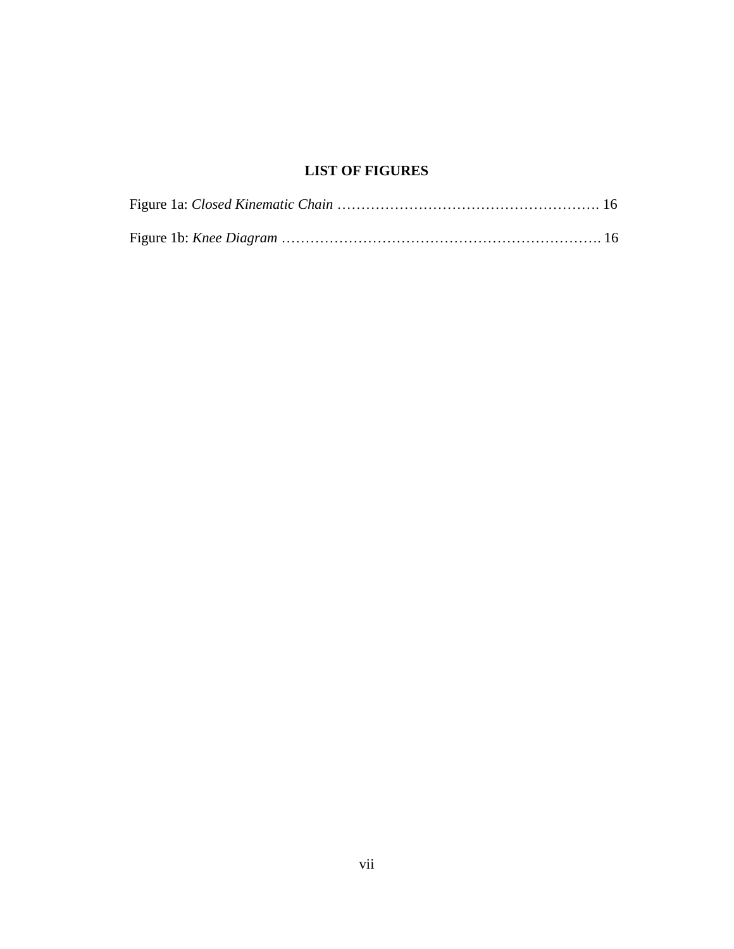## **LIST OF FIGURES**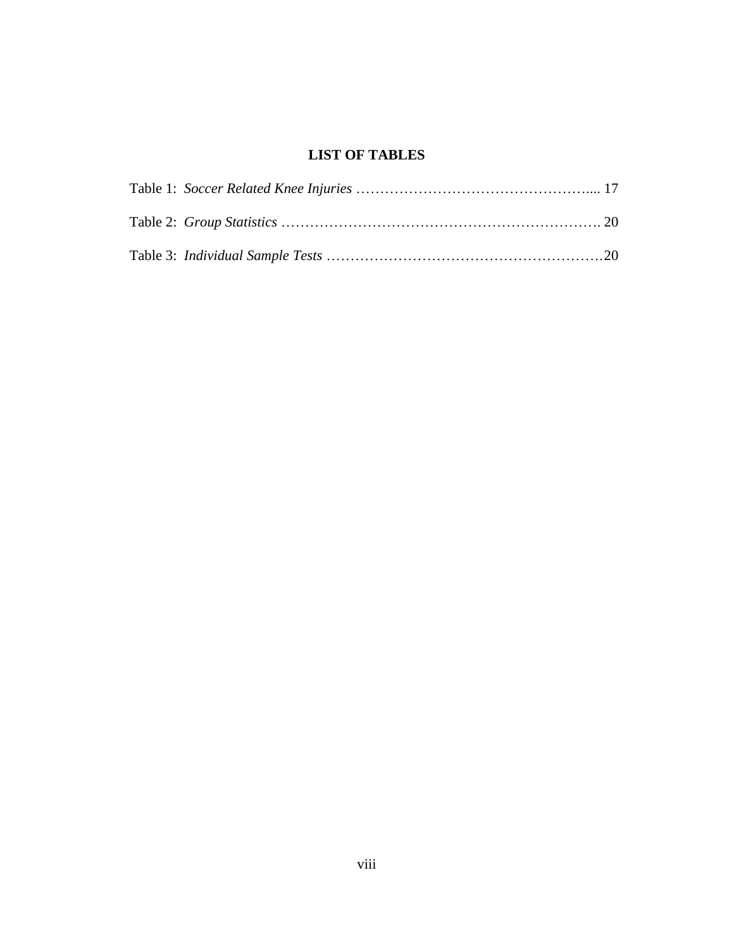## **LIST OF TABLES**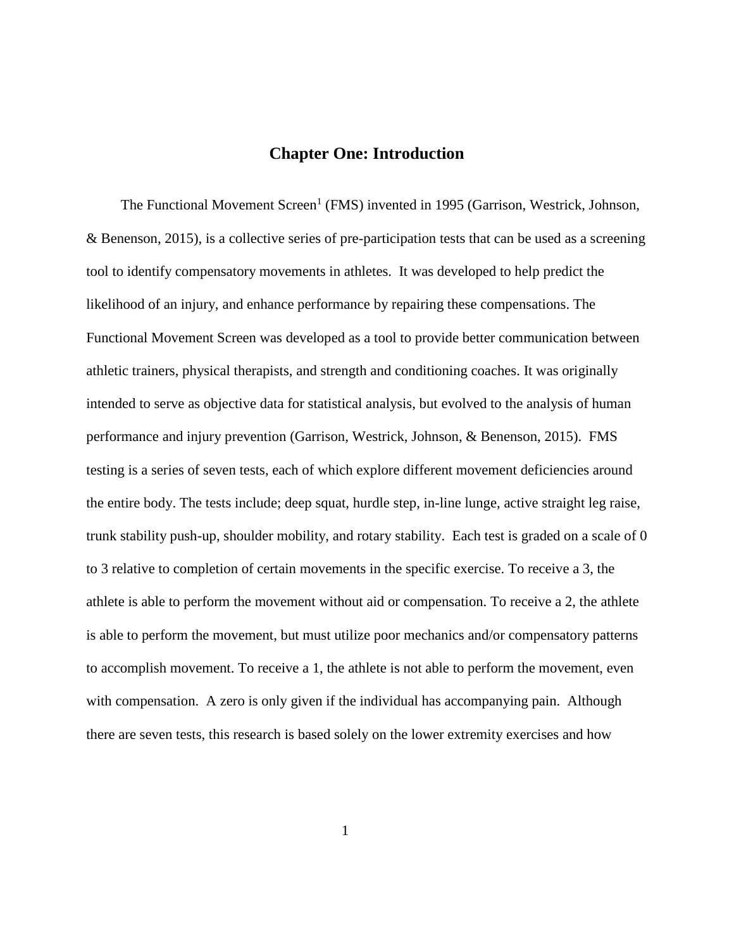## **Chapter One: Introduction**

The Functional Movement Screen<sup>1</sup> (FMS) invented in 1995 (Garrison, Westrick, Johnson, & Benenson, 2015), is a collective series of pre-participation tests that can be used as a screening tool to identify compensatory movements in athletes. It was developed to help predict the likelihood of an injury, and enhance performance by repairing these compensations. The Functional Movement Screen was developed as a tool to provide better communication between athletic trainers, physical therapists, and strength and conditioning coaches. It was originally intended to serve as objective data for statistical analysis, but evolved to the analysis of human performance and injury prevention (Garrison, Westrick, Johnson, & Benenson, 2015). FMS testing is a series of seven tests, each of which explore different movement deficiencies around the entire body. The tests include; deep squat, hurdle step, in-line lunge, active straight leg raise, trunk stability push-up, shoulder mobility, and rotary stability. Each test is graded on a scale of 0 to 3 relative to completion of certain movements in the specific exercise. To receive a 3, the athlete is able to perform the movement without aid or compensation. To receive a 2, the athlete is able to perform the movement, but must utilize poor mechanics and/or compensatory patterns to accomplish movement. To receive a 1, the athlete is not able to perform the movement, even with compensation. A zero is only given if the individual has accompanying pain. Although there are seven tests, this research is based solely on the lower extremity exercises and how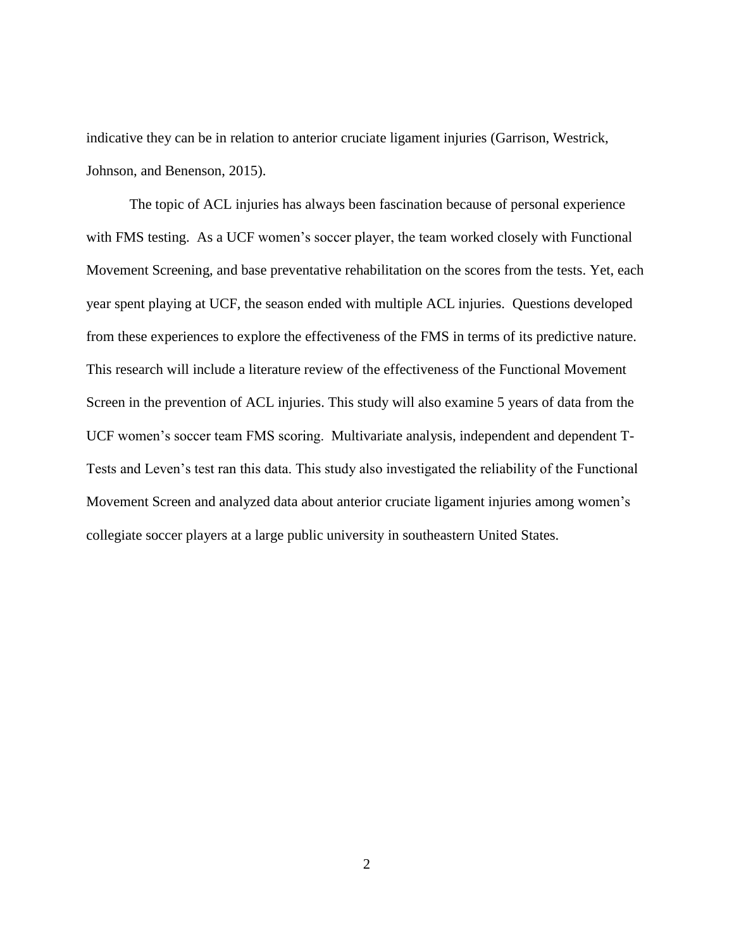indicative they can be in relation to anterior cruciate ligament injuries (Garrison, Westrick, Johnson, and Benenson, 2015).

The topic of ACL injuries has always been fascination because of personal experience with FMS testing. As a UCF women's soccer player, the team worked closely with Functional Movement Screening, and base preventative rehabilitation on the scores from the tests. Yet, each year spent playing at UCF, the season ended with multiple ACL injuries. Questions developed from these experiences to explore the effectiveness of the FMS in terms of its predictive nature. This research will include a literature review of the effectiveness of the Functional Movement Screen in the prevention of ACL injuries. This study will also examine 5 years of data from the UCF women's soccer team FMS scoring. Multivariate analysis, independent and dependent T-Tests and Leven's test ran this data. This study also investigated the reliability of the Functional Movement Screen and analyzed data about anterior cruciate ligament injuries among women's collegiate soccer players at a large public university in southeastern United States.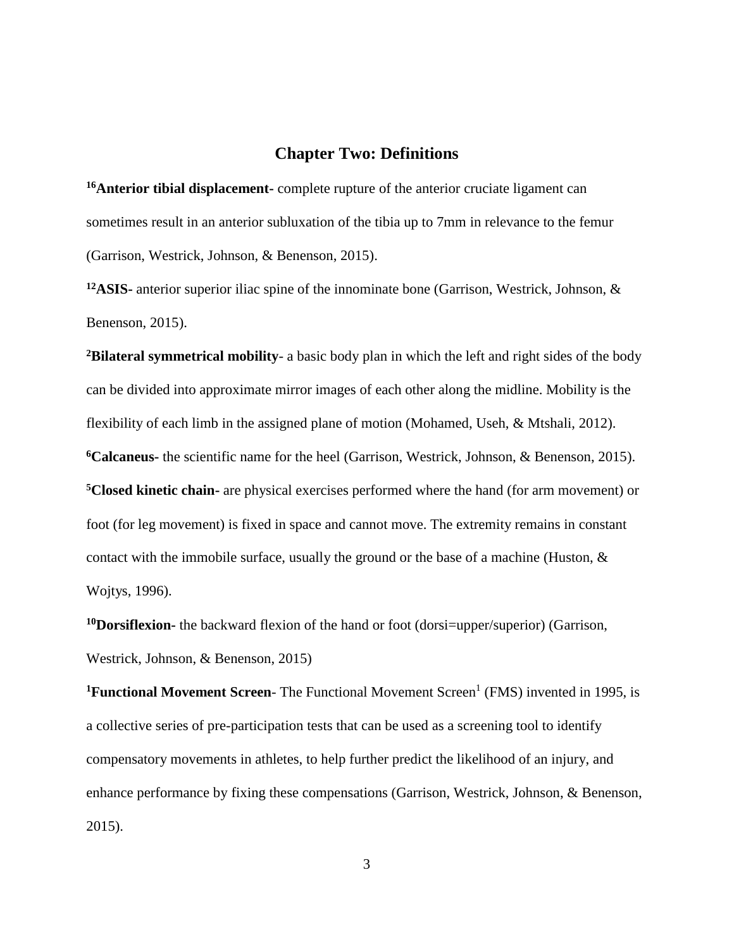## **Chapter Two: Definitions**

**<sup>16</sup>Anterior tibial displacement-** complete rupture of the anterior cruciate ligament can sometimes result in an anterior subluxation of the tibia up to 7mm in relevance to the femur (Garrison, Westrick, Johnson, & Benenson, 2015).

**<sup>12</sup>ASIS-** anterior superior iliac spine of the innominate bone (Garrison, Westrick, Johnson, & Benenson, 2015).

**<sup>2</sup>Bilateral symmetrical mobility**- a basic body plan in which the left and right sides of the body can be divided into approximate mirror images of each other along the midline. Mobility is the flexibility of each limb in the assigned plane of motion (Mohamed, Useh, & Mtshali, 2012). **<sup>6</sup>Calcaneus-** the scientific name for the heel (Garrison, Westrick, Johnson, & Benenson, 2015). **<sup>5</sup>Closed kinetic chain-** are physical exercises performed where the hand (for arm movement) or foot (for leg movement) is fixed in space and cannot move. The extremity remains in constant contact with the immobile surface, usually the ground or the base of a machine (Huston, & Wojtys, 1996).

**<sup>10</sup>Dorsiflexion-** the backward flexion of the hand or foot (dorsi=upper/superior) (Garrison, Westrick, Johnson, & Benenson, 2015)

<sup>1</sup>**Functional Movement Screen**- The Functional Movement Screen<sup>1</sup> (FMS) invented in 1995, is a collective series of pre-participation tests that can be used as a screening tool to identify compensatory movements in athletes, to help further predict the likelihood of an injury, and enhance performance by fixing these compensations (Garrison, Westrick, Johnson, & Benenson, 2015).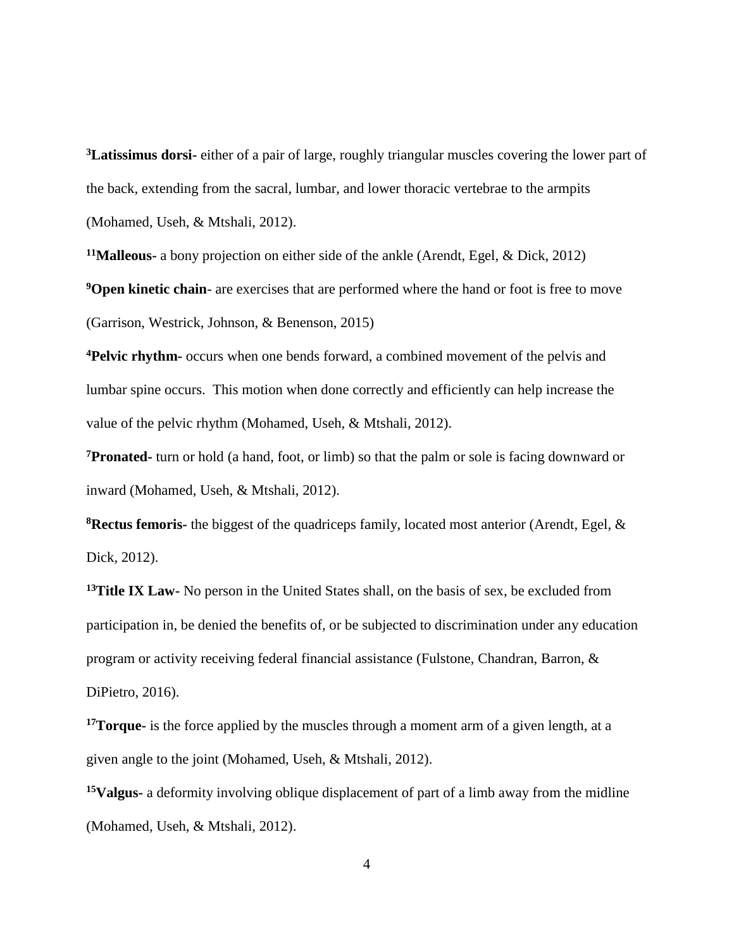**<sup>3</sup>Latissimus dorsi-** either of a pair of large, roughly triangular muscles covering the lower part of the back, extending from the sacral, lumbar, and lower thoracic vertebrae to the armpits (Mohamed, Useh, & Mtshali, 2012).

**<sup>11</sup>Malleous-** a bony projection on either side of the ankle (Arendt, Egel, & Dick, 2012)

**<sup>9</sup>Open kinetic chain**- are exercises that are performed where the hand or foot is free to move (Garrison, Westrick, Johnson, & Benenson, 2015)

**<sup>4</sup>Pelvic rhythm-** occurs when one bends forward, a combined movement of the pelvis and lumbar spine occurs. This motion when done correctly and efficiently can help increase the value of the pelvic rhythm (Mohamed, Useh, & Mtshali, 2012).

**<sup>7</sup>Pronated-** turn or hold (a hand, foot, or limb) so that the palm or sole is facing downward or inward (Mohamed, Useh, & Mtshali, 2012).

**<sup>8</sup>Rectus femoris-** the biggest of the quadriceps family, located most anterior (Arendt, Egel, & Dick, 2012).

**<sup>13</sup>Title IX Law-** No person in the United States shall, on the basis of sex, be excluded from participation in, be denied the benefits of, or be subjected to discrimination under any education program or activity receiving federal financial assistance (Fulstone, Chandran, Barron, & DiPietro, 2016).

**<sup>17</sup>Torque-** is the force applied by the muscles through a moment arm of a given length, at a given angle to the joint (Mohamed, Useh, & Mtshali, 2012).

**<sup>15</sup>Valgus-** a deformity involving oblique displacement of part of a limb away from the midline (Mohamed, Useh, & Mtshali, 2012).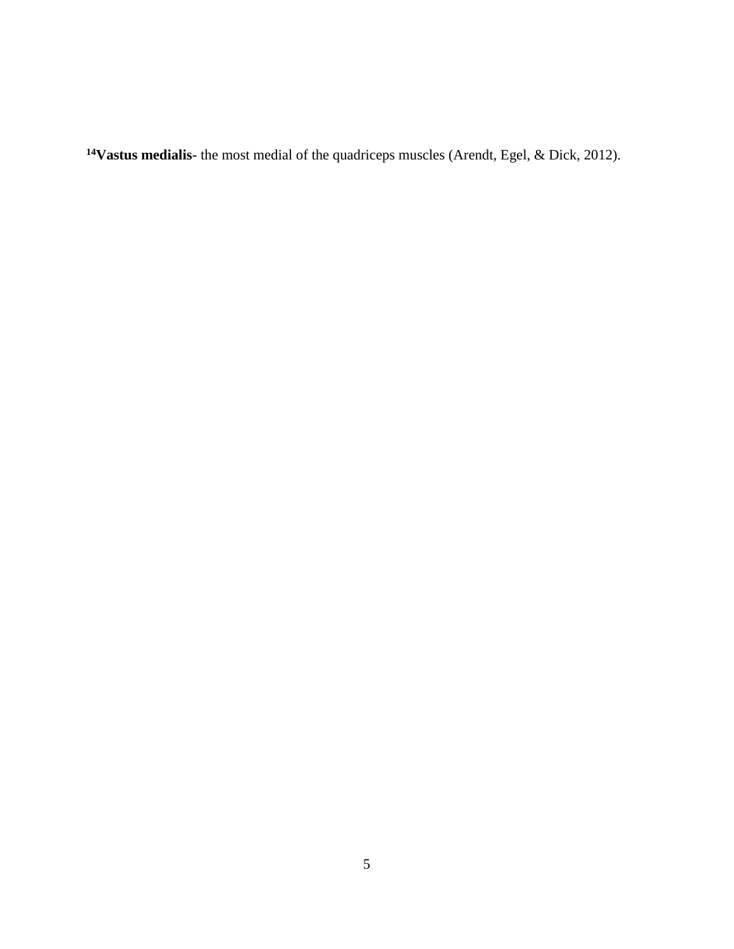**Vastus medialis-** the most medial of the quadriceps muscles (Arendt, Egel, & Dick, 2012).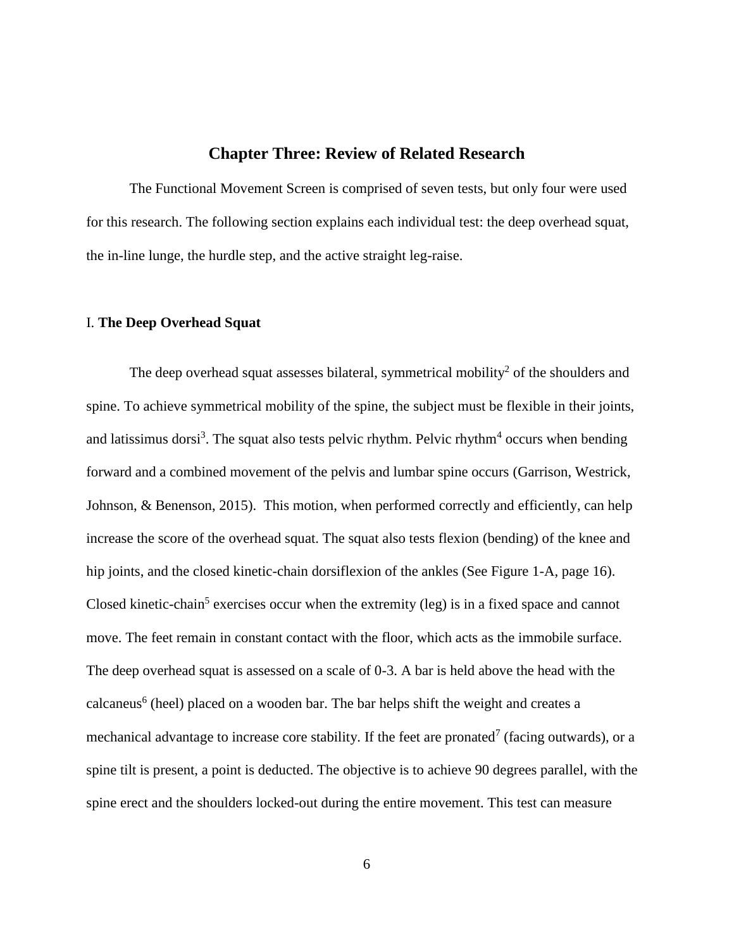## **Chapter Three: Review of Related Research**

The Functional Movement Screen is comprised of seven tests, but only four were used for this research. The following section explains each individual test: the deep overhead squat, the in-line lunge, the hurdle step, and the active straight leg-raise.

#### I. **The Deep Overhead Squat**

The deep overhead squat assesses bilateral, symmetrical mobility<sup>2</sup> of the shoulders and spine. To achieve symmetrical mobility of the spine, the subject must be flexible in their joints, and latissimus dorsi<sup>3</sup>. The squat also tests pelvic rhythm. Pelvic rhythm<sup>4</sup> occurs when bending forward and a combined movement of the pelvis and lumbar spine occurs (Garrison, Westrick, Johnson, & Benenson, 2015). This motion, when performed correctly and efficiently, can help increase the score of the overhead squat. The squat also tests flexion (bending) of the knee and hip joints, and the closed kinetic-chain dorsiflexion of the ankles (See Figure 1-A, page 16). Closed kinetic-chain<sup>5</sup> exercises occur when the extremity (leg) is in a fixed space and cannot move. The feet remain in constant contact with the floor, which acts as the immobile surface. The deep overhead squat is assessed on a scale of 0-3. A bar is held above the head with the calcaneus<sup>6</sup> (heel) placed on a wooden bar. The bar helps shift the weight and creates a mechanical advantage to increase core stability. If the feet are pronated<sup>7</sup> (facing outwards), or a spine tilt is present, a point is deducted. The objective is to achieve 90 degrees parallel, with the spine erect and the shoulders locked-out during the entire movement. This test can measure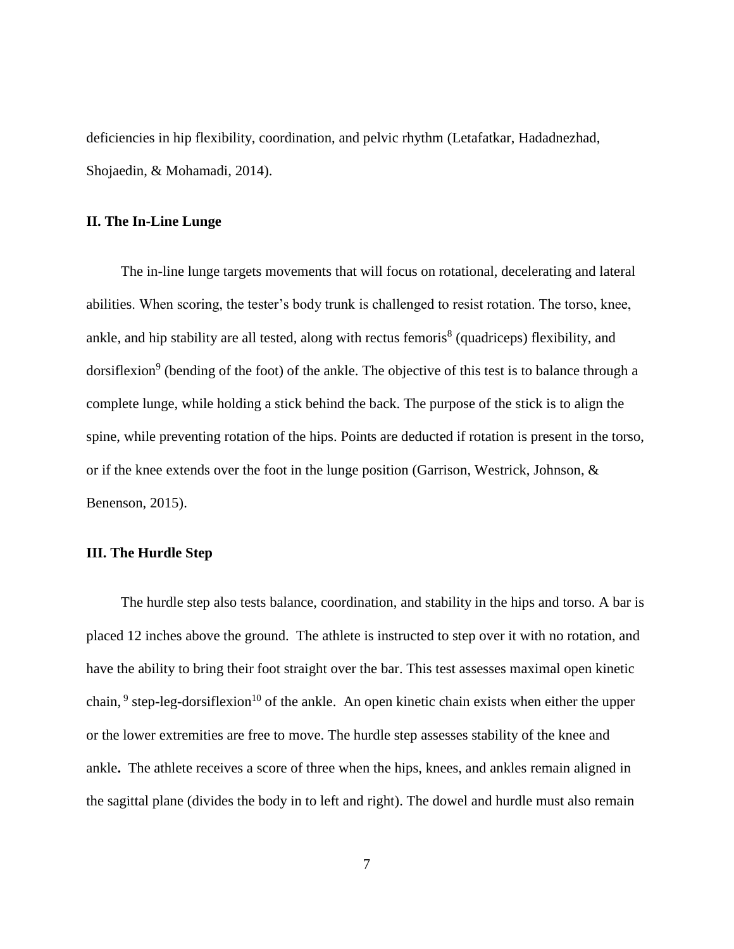deficiencies in hip flexibility, coordination, and pelvic rhythm (Letafatkar, Hadadnezhad, Shojaedin, & Mohamadi, 2014).

#### **II. The In-Line Lunge**

The in-line lunge targets movements that will focus on rotational, decelerating and lateral abilities. When scoring, the tester's body trunk is challenged to resist rotation. The torso, knee, ankle, and hip stability are all tested, along with rectus femoris $<sup>8</sup>$  (quadriceps) flexibility, and</sup> dorsiflexion<sup>9</sup> (bending of the foot) of the ankle. The objective of this test is to balance through a complete lunge, while holding a stick behind the back. The purpose of the stick is to align the spine, while preventing rotation of the hips. Points are deducted if rotation is present in the torso, or if the knee extends over the foot in the lunge position (Garrison, Westrick, Johnson, & Benenson, 2015).

#### **III. The Hurdle Step**

The hurdle step also tests balance, coordination, and stability in the hips and torso. A bar is placed 12 inches above the ground. The athlete is instructed to step over it with no rotation, and have the ability to bring their foot straight over the bar. This test assesses maximal open kinetic chain,  $9$  step-leg-dorsiflexion<sup>10</sup> of the ankle. An open kinetic chain exists when either the upper or the lower extremities are free to move. The hurdle step assesses stability of the knee and ankle**.** The athlete receives a score of three when the hips, knees, and ankles remain aligned in the sagittal plane (divides the body in to left and right). The dowel and hurdle must also remain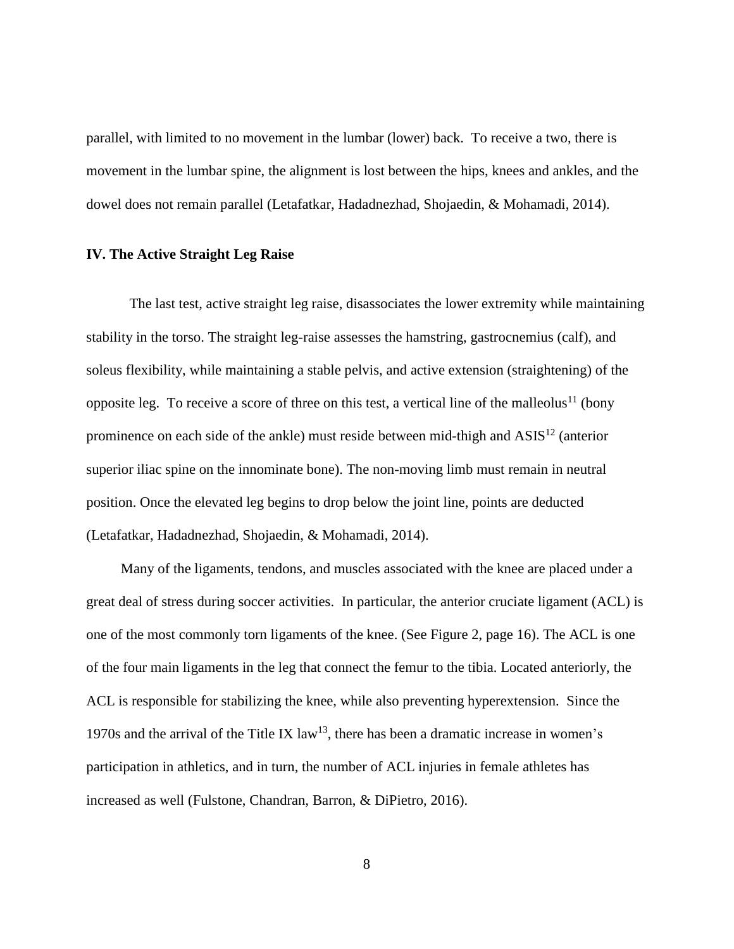parallel, with limited to no movement in the lumbar (lower) back. To receive a two, there is movement in the lumbar spine, the alignment is lost between the hips, knees and ankles, and the dowel does not remain parallel (Letafatkar, Hadadnezhad, Shojaedin, & Mohamadi, 2014).

#### **IV. The Active Straight Leg Raise**

The last test, active straight leg raise, disassociates the lower extremity while maintaining stability in the torso. The straight leg-raise assesses the hamstring, gastrocnemius (calf), and soleus flexibility, while maintaining a stable pelvis, and active extension (straightening) of the opposite leg. To receive a score of three on this test, a vertical line of the malleolus<sup>11</sup> (bony prominence on each side of the ankle) must reside between mid-thigh and  $\text{ASIS}^{12}$  (anterior superior iliac spine on the innominate bone). The non-moving limb must remain in neutral position. Once the elevated leg begins to drop below the joint line, points are deducted (Letafatkar, Hadadnezhad, Shojaedin, & Mohamadi, 2014).

Many of the ligaments, tendons, and muscles associated with the knee are placed under a great deal of stress during soccer activities. In particular, the anterior cruciate ligament (ACL) is one of the most commonly torn ligaments of the knee. (See Figure 2, page 16). The ACL is one of the four main ligaments in the leg that connect the femur to the tibia. Located anteriorly, the ACL is responsible for stabilizing the knee, while also preventing hyperextension. Since the 1970s and the arrival of the Title IX  $law<sup>13</sup>$ , there has been a dramatic increase in women's participation in athletics, and in turn, the number of ACL injuries in female athletes has increased as well (Fulstone, Chandran, Barron, & DiPietro, 2016).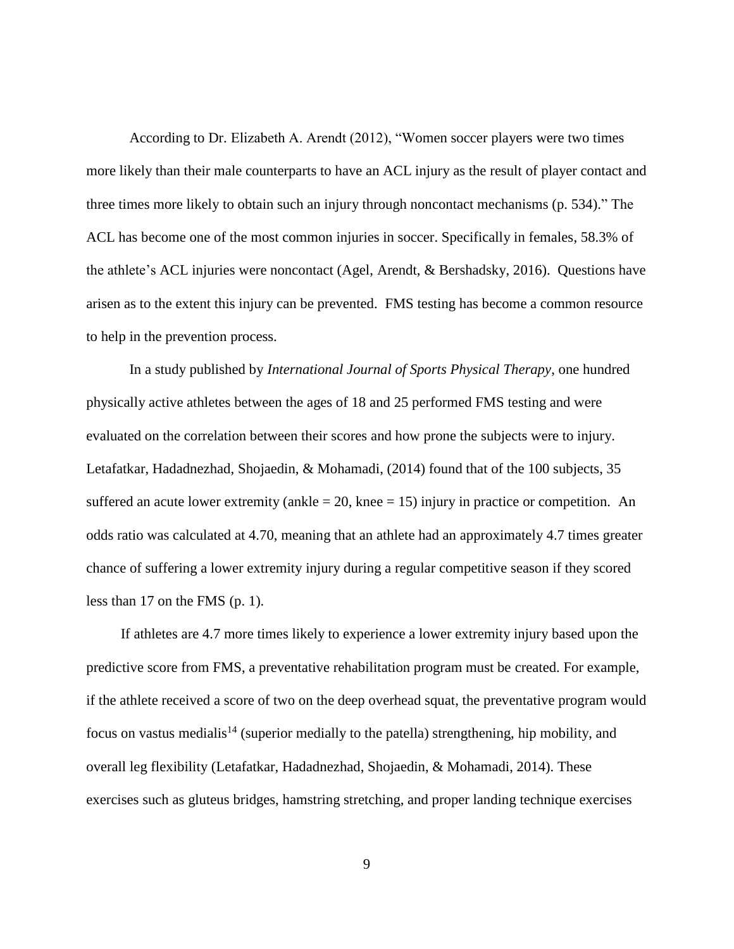According to Dr. Elizabeth A. Arendt (2012), "Women soccer players were two times more likely than their male counterparts to have an ACL injury as the result of player contact and three times more likely to obtain such an injury through noncontact mechanisms (p. 534)." The ACL has become one of the most common injuries in soccer. Specifically in females, 58.3% of the athlete's ACL injuries were noncontact (Agel, Arendt, & Bershadsky, 2016). Questions have arisen as to the extent this injury can be prevented. FMS testing has become a common resource to help in the prevention process.

In a study published by *International Journal of Sports Physical Therapy*, one hundred physically active athletes between the ages of 18 and 25 performed FMS testing and were evaluated on the correlation between their scores and how prone the subjects were to injury. Letafatkar, Hadadnezhad, Shojaedin, & Mohamadi, (2014) found that of the 100 subjects, 35 suffered an acute lower extremity (ankle  $= 20$ , knee  $= 15$ ) injury in practice or competition. An odds ratio was calculated at 4.70, meaning that an athlete had an approximately 4.7 times greater chance of suffering a lower extremity injury during a regular competitive season if they scored less than 17 on the FMS (p. 1).

If athletes are 4.7 more times likely to experience a lower extremity injury based upon the predictive score from FMS, a preventative rehabilitation program must be created. For example, if the athlete received a score of two on the deep overhead squat, the preventative program would focus on vastus medialis<sup>14</sup> (superior medially to the patella) strengthening, hip mobility, and overall leg flexibility (Letafatkar, Hadadnezhad, Shojaedin, & Mohamadi, 2014). These exercises such as gluteus bridges, hamstring stretching, and proper landing technique exercises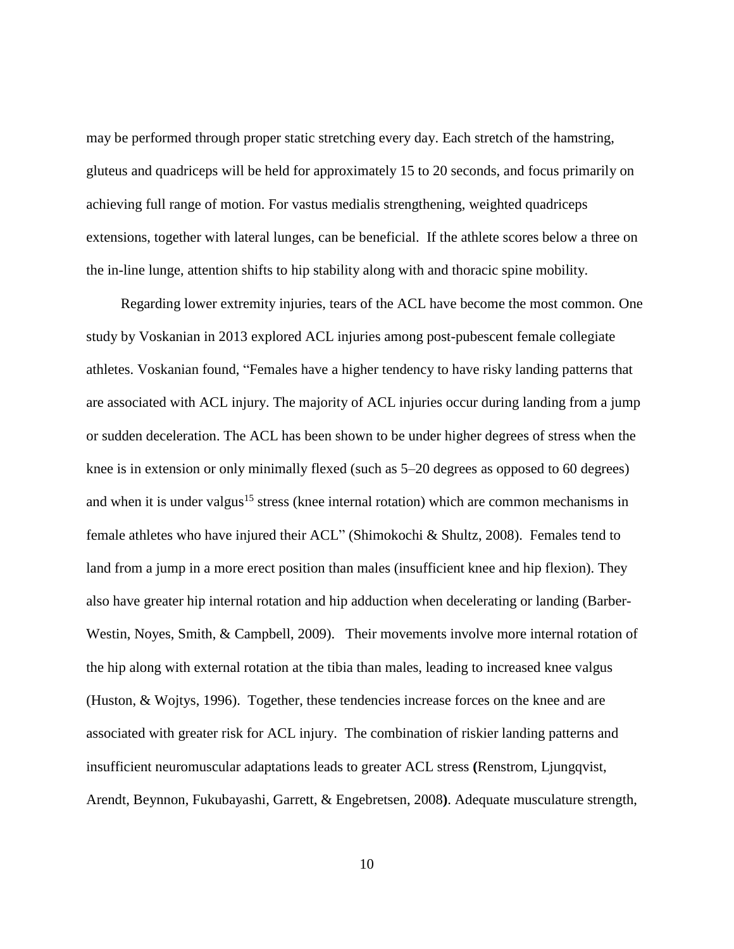may be performed through proper static stretching every day. Each stretch of the hamstring, gluteus and quadriceps will be held for approximately 15 to 20 seconds, and focus primarily on achieving full range of motion. For vastus medialis strengthening, weighted quadriceps extensions, together with lateral lunges, can be beneficial. If the athlete scores below a three on the in-line lunge, attention shifts to hip stability along with and thoracic spine mobility.

Regarding lower extremity injuries, tears of the ACL have become the most common. One study by Voskanian in 2013 explored ACL injuries among post-pubescent female collegiate athletes. Voskanian found, "Females have a higher tendency to have risky landing patterns that are associated with ACL injury. The majority of ACL injuries occur during landing from a jump or sudden deceleration. The ACL has been shown to be under higher degrees of stress when the knee is in extension or only minimally flexed (such as 5–20 degrees as opposed to 60 degrees) and when it is under valgus<sup>15</sup> stress (knee internal rotation) which are common mechanisms in female athletes who have injured their ACL" (Shimokochi & Shultz, 2008). Females tend to land from a jump in a more erect position than males (insufficient knee and hip flexion). They also have greater hip internal rotation and hip adduction when decelerating or landing (Barber-Westin, Noyes, Smith, & Campbell, 2009). Their movements involve more internal rotation of the hip along with external rotation at the tibia than males, leading to increased knee valgus (Huston, & Wojtys, 1996). Together, these tendencies increase forces on the knee and are associated with greater risk for ACL injury. The combination of riskier landing patterns and insufficient neuromuscular adaptations leads to greater ACL stress **(**Renstrom, Ljungqvist, Arendt, Beynnon, Fukubayashi, Garrett, & Engebretsen, 2008**)**. Adequate musculature strength,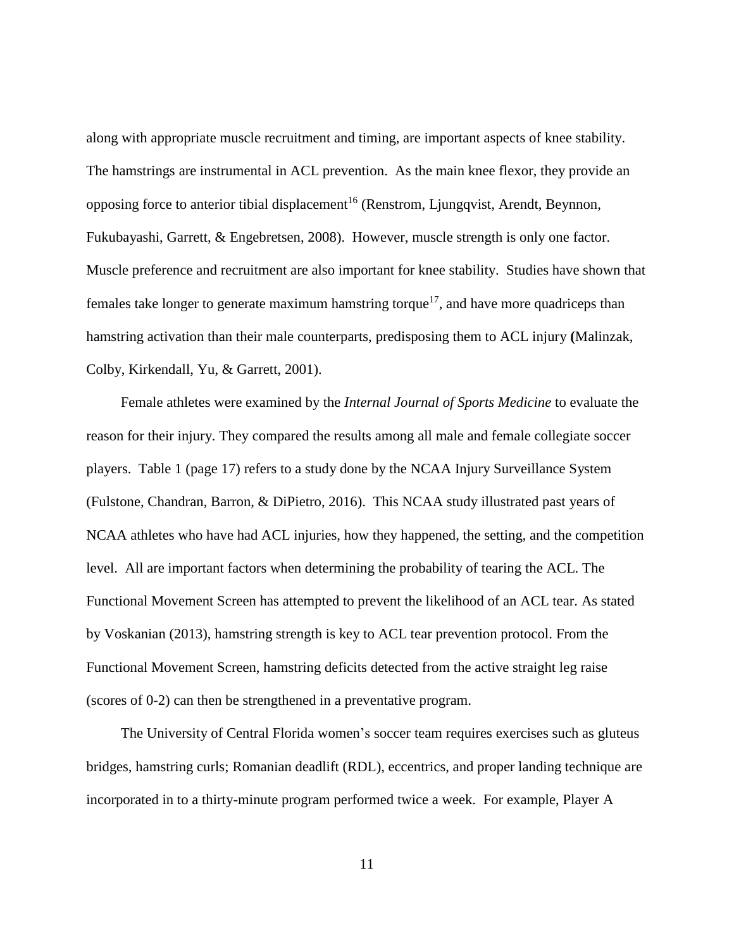along with appropriate muscle recruitment and timing, are important aspects of knee stability. The hamstrings are instrumental in ACL prevention. As the main knee flexor, they provide an opposing force to anterior tibial displacement<sup>16</sup> (Renstrom, Ljungqvist, Arendt, Beynnon, Fukubayashi, Garrett, & Engebretsen, 2008). However, muscle strength is only one factor. Muscle preference and recruitment are also important for knee stability. Studies have shown that females take longer to generate maximum hamstring torque<sup>17</sup>, and have more quadriceps than hamstring activation than their male counterparts, predisposing them to ACL injury **(**Malinzak, Colby, Kirkendall, Yu, & Garrett, 2001).

Female athletes were examined by the *Internal Journal of Sports Medicine* to evaluate the reason for their injury. They compared the results among all male and female collegiate soccer players. Table 1 (page 17) refers to a study done by the NCAA Injury Surveillance System (Fulstone, Chandran, Barron, & DiPietro, 2016). This NCAA study illustrated past years of NCAA athletes who have had ACL injuries, how they happened, the setting, and the competition level. All are important factors when determining the probability of tearing the ACL. The Functional Movement Screen has attempted to prevent the likelihood of an ACL tear. As stated by Voskanian (2013), hamstring strength is key to ACL tear prevention protocol. From the Functional Movement Screen, hamstring deficits detected from the active straight leg raise (scores of 0-2) can then be strengthened in a preventative program.

The University of Central Florida women's soccer team requires exercises such as gluteus bridges, hamstring curls; Romanian deadlift (RDL), eccentrics, and proper landing technique are incorporated in to a thirty-minute program performed twice a week. For example, Player A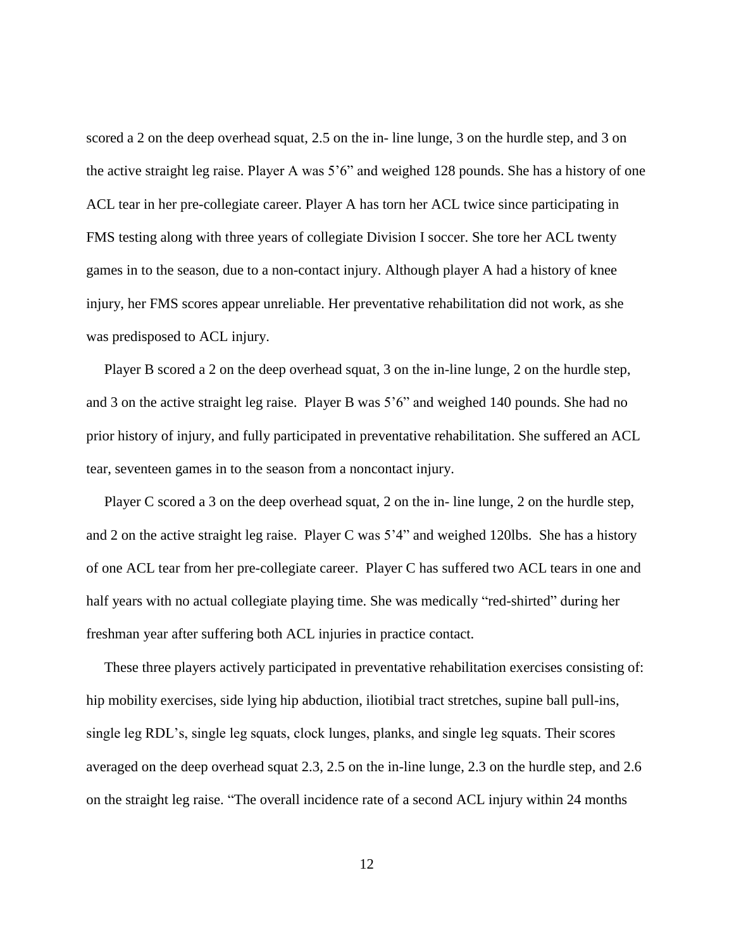scored a 2 on the deep overhead squat, 2.5 on the in- line lunge, 3 on the hurdle step, and 3 on the active straight leg raise. Player A was 5'6" and weighed 128 pounds. She has a history of one ACL tear in her pre-collegiate career. Player A has torn her ACL twice since participating in FMS testing along with three years of collegiate Division I soccer. She tore her ACL twenty games in to the season, due to a non-contact injury. Although player A had a history of knee injury, her FMS scores appear unreliable. Her preventative rehabilitation did not work, as she was predisposed to ACL injury.

 Player B scored a 2 on the deep overhead squat, 3 on the in-line lunge, 2 on the hurdle step, and 3 on the active straight leg raise. Player B was 5'6" and weighed 140 pounds. She had no prior history of injury, and fully participated in preventative rehabilitation. She suffered an ACL tear, seventeen games in to the season from a noncontact injury.

 Player C scored a 3 on the deep overhead squat, 2 on the in- line lunge, 2 on the hurdle step, and 2 on the active straight leg raise. Player C was 5'4" and weighed 120lbs. She has a history of one ACL tear from her pre-collegiate career. Player C has suffered two ACL tears in one and half years with no actual collegiate playing time. She was medically "red-shirted" during her freshman year after suffering both ACL injuries in practice contact.

 These three players actively participated in preventative rehabilitation exercises consisting of: hip mobility exercises, side lying hip abduction, iliotibial tract stretches, supine ball pull-ins, single leg RDL's, single leg squats, clock lunges, planks, and single leg squats. Their scores averaged on the deep overhead squat 2.3, 2.5 on the in-line lunge, 2.3 on the hurdle step, and 2.6 on the straight leg raise. "The overall incidence rate of a second ACL injury within 24 months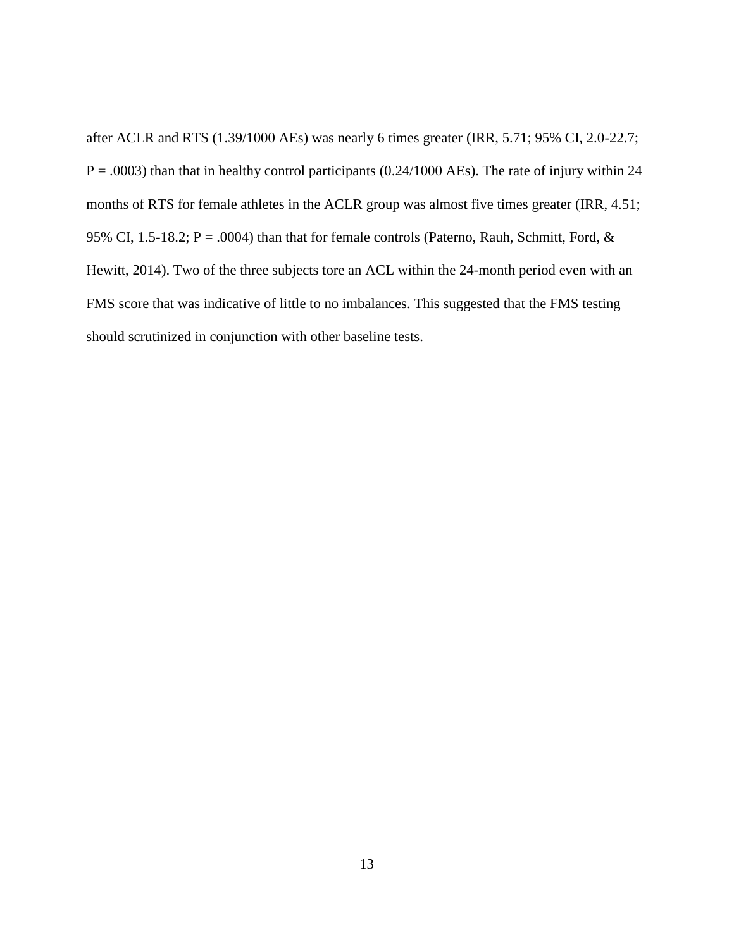after ACLR and RTS (1.39/1000 AEs) was nearly 6 times greater (IRR, 5.71; 95% CI, 2.0-22.7;  $P = .0003$ ) than that in healthy control participants (0.24/1000 AEs). The rate of injury within 24 months of RTS for female athletes in the ACLR group was almost five times greater (IRR, 4.51; 95% CI, 1.5-18.2; P = .0004) than that for female controls (Paterno, Rauh, Schmitt, Ford, & Hewitt, 2014). Two of the three subjects tore an ACL within the 24-month period even with an FMS score that was indicative of little to no imbalances. This suggested that the FMS testing should scrutinized in conjunction with other baseline tests.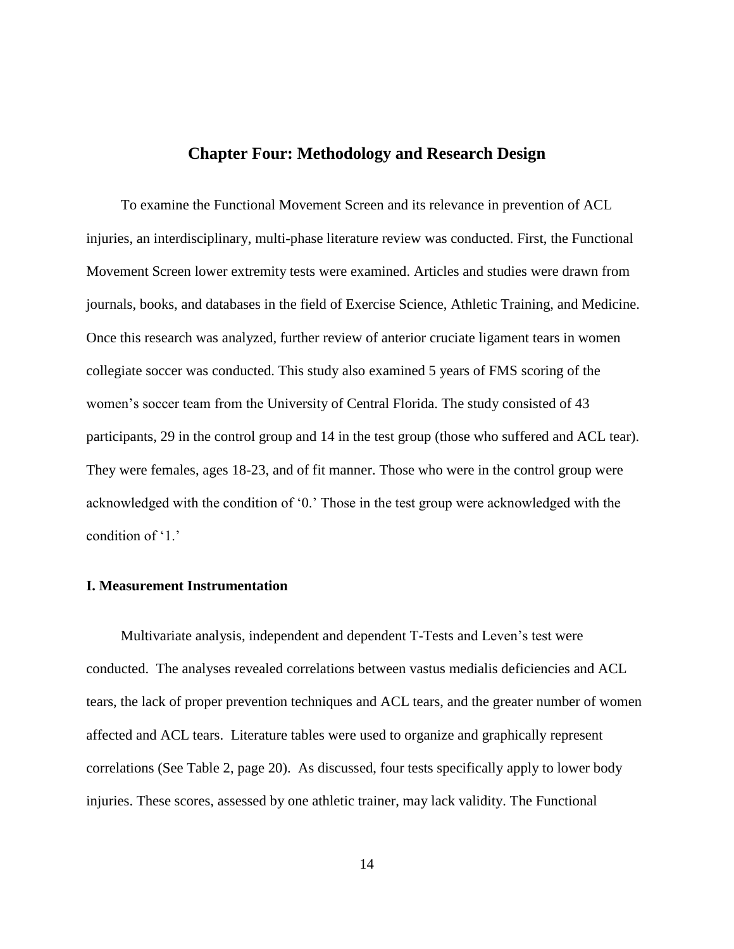## **Chapter Four: Methodology and Research Design**

To examine the Functional Movement Screen and its relevance in prevention of ACL injuries, an interdisciplinary, multi-phase literature review was conducted. First, the Functional Movement Screen lower extremity tests were examined. Articles and studies were drawn from journals, books, and databases in the field of Exercise Science, Athletic Training, and Medicine. Once this research was analyzed, further review of anterior cruciate ligament tears in women collegiate soccer was conducted. This study also examined 5 years of FMS scoring of the women's soccer team from the University of Central Florida. The study consisted of 43 participants, 29 in the control group and 14 in the test group (those who suffered and ACL tear). They were females, ages 18-23, and of fit manner. Those who were in the control group were acknowledged with the condition of '0.' Those in the test group were acknowledged with the condition of '1.'

#### **I. Measurement Instrumentation**

Multivariate analysis, independent and dependent T-Tests and Leven's test were conducted. The analyses revealed correlations between vastus medialis deficiencies and ACL tears, the lack of proper prevention techniques and ACL tears, and the greater number of women affected and ACL tears. Literature tables were used to organize and graphically represent correlations (See Table 2, page 20). As discussed, four tests specifically apply to lower body injuries. These scores, assessed by one athletic trainer, may lack validity. The Functional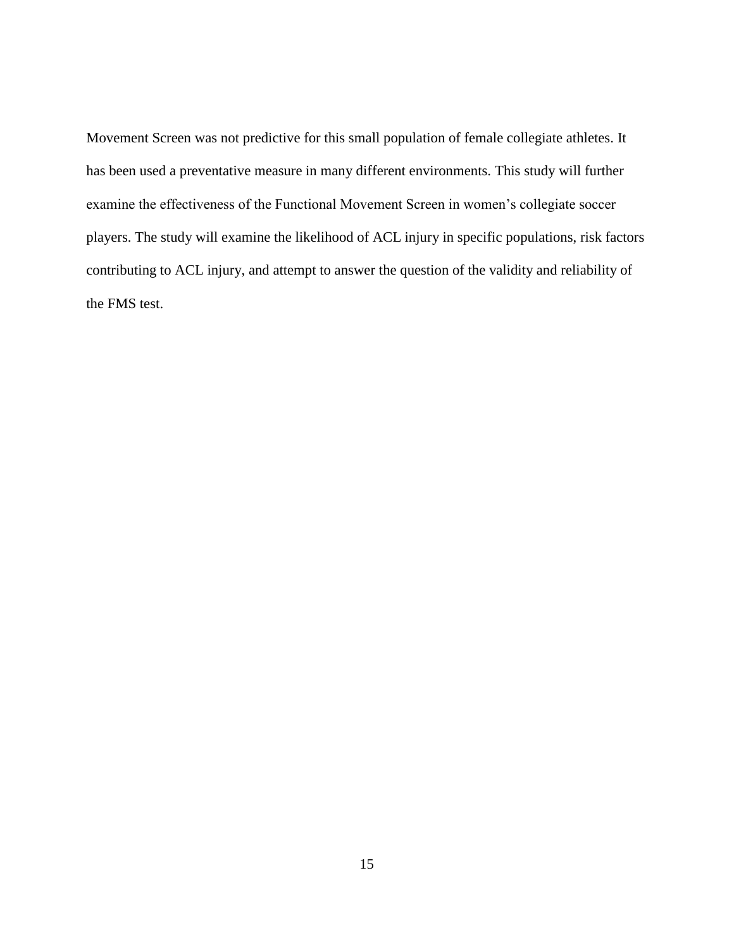Movement Screen was not predictive for this small population of female collegiate athletes. It has been used a preventative measure in many different environments. This study will further examine the effectiveness of the Functional Movement Screen in women's collegiate soccer players. The study will examine the likelihood of ACL injury in specific populations, risk factors contributing to ACL injury, and attempt to answer the question of the validity and reliability of the FMS test.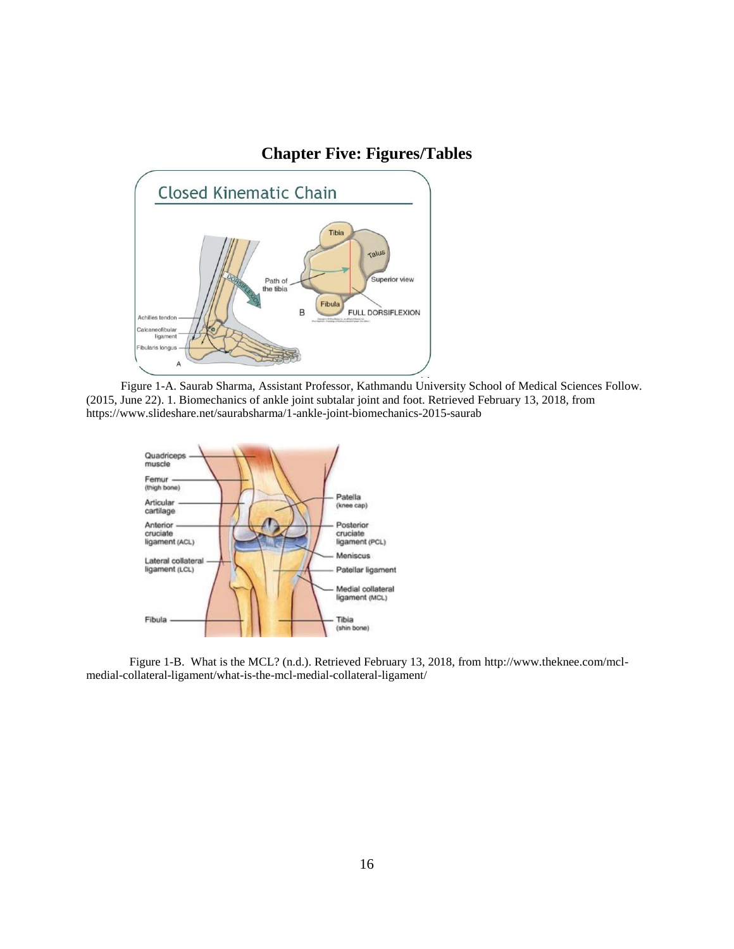## **Chapter Five: Figures/Tables**



Figure 1-A. Saurab Sharma, Assistant Professor, Kathmandu University School of Medical Sciences Follow. (2015, June 22). 1. Biomechanics of ankle joint subtalar joint and foot. Retrieved February 13, 2018, from https://www.slideshare.net/saurabsharma/1-ankle-joint-biomechanics-2015-saurab



Figure 1-B. What is the MCL? (n.d.). Retrieved February 13, 2018, from http://www.theknee.com/mclmedial-collateral-ligament/what-is-the-mcl-medial-collateral-ligament/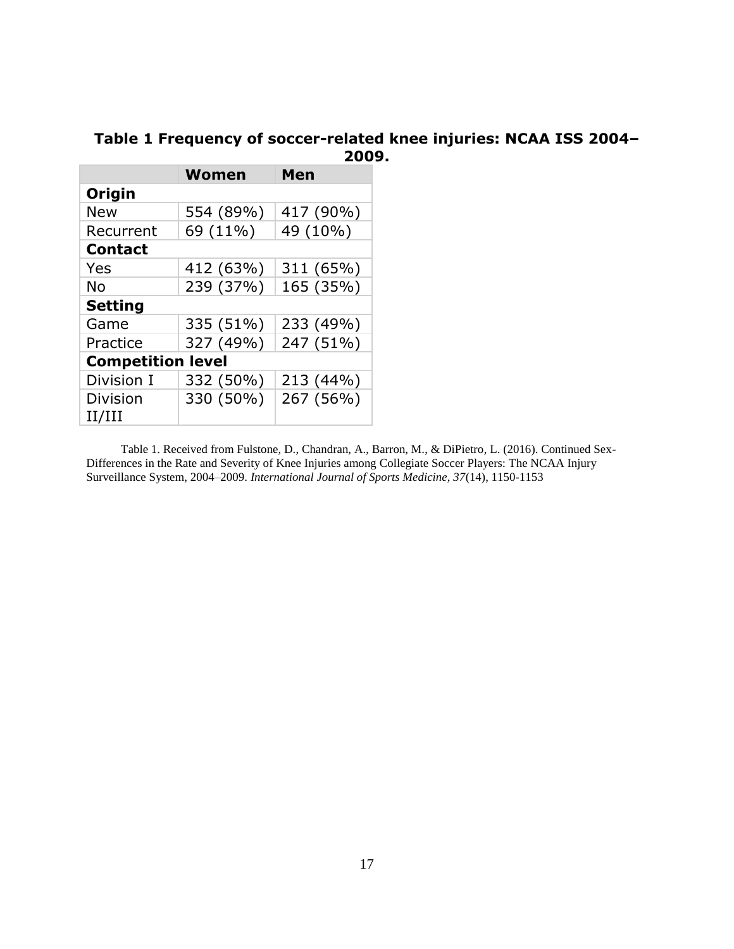## **Table 1 Frequency of soccer-related knee injuries: NCAA ISS 2004– 2009.**

|                           | <b>Women</b> | Men       |  |  |  |  |  |
|---------------------------|--------------|-----------|--|--|--|--|--|
| Origin                    |              |           |  |  |  |  |  |
| <b>New</b>                | 554 (89%)    | 417 (90%) |  |  |  |  |  |
| Recurrent                 | 69 (11%)     | 49 (10%)  |  |  |  |  |  |
| <b>Contact</b>            |              |           |  |  |  |  |  |
| Yes                       | 412 (63%)    | 311 (65%) |  |  |  |  |  |
| No                        | 239 (37%)    | 165 (35%) |  |  |  |  |  |
| <b>Setting</b>            |              |           |  |  |  |  |  |
| Game                      | 335 (51%)    | 233 (49%) |  |  |  |  |  |
| Practice                  | 327 (49%)    | 247 (51%) |  |  |  |  |  |
| <b>Competition level</b>  |              |           |  |  |  |  |  |
| Division I                | 332 (50%)    | 213 (44%) |  |  |  |  |  |
| <b>Division</b><br>II/III | 330 (50%)    | 267 (56%) |  |  |  |  |  |

Table 1. Received from Fulstone, D., Chandran, A., Barron, M., & DiPietro, L. (2016). Continued Sex-Differences in the Rate and Severity of Knee Injuries among Collegiate Soccer Players: The NCAA Injury Surveillance System, 2004–2009. *International Journal of Sports Medicine, 37*(14), 1150-1153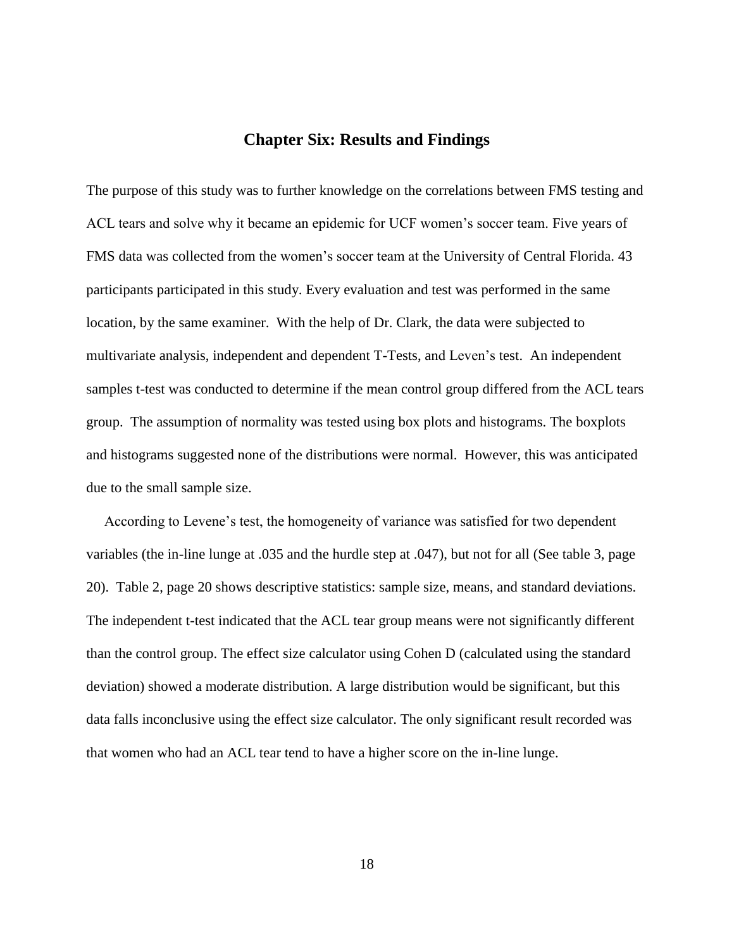#### **Chapter Six: Results and Findings**

The purpose of this study was to further knowledge on the correlations between FMS testing and ACL tears and solve why it became an epidemic for UCF women's soccer team. Five years of FMS data was collected from the women's soccer team at the University of Central Florida. 43 participants participated in this study. Every evaluation and test was performed in the same location, by the same examiner. With the help of Dr. Clark, the data were subjected to multivariate analysis, independent and dependent T-Tests, and Leven's test. An independent samples t-test was conducted to determine if the mean control group differed from the ACL tears group. The assumption of normality was tested using box plots and histograms. The boxplots and histograms suggested none of the distributions were normal. However, this was anticipated due to the small sample size.

 According to Levene's test, the homogeneity of variance was satisfied for two dependent variables (the in-line lunge at .035 and the hurdle step at .047), but not for all (See table 3, page 20). Table 2, page 20 shows descriptive statistics: sample size, means, and standard deviations. The independent t-test indicated that the ACL tear group means were not significantly different than the control group. The effect size calculator using Cohen D (calculated using the standard deviation) showed a moderate distribution. A large distribution would be significant, but this data falls inconclusive using the effect size calculator. The only significant result recorded was that women who had an ACL tear tend to have a higher score on the in-line lunge.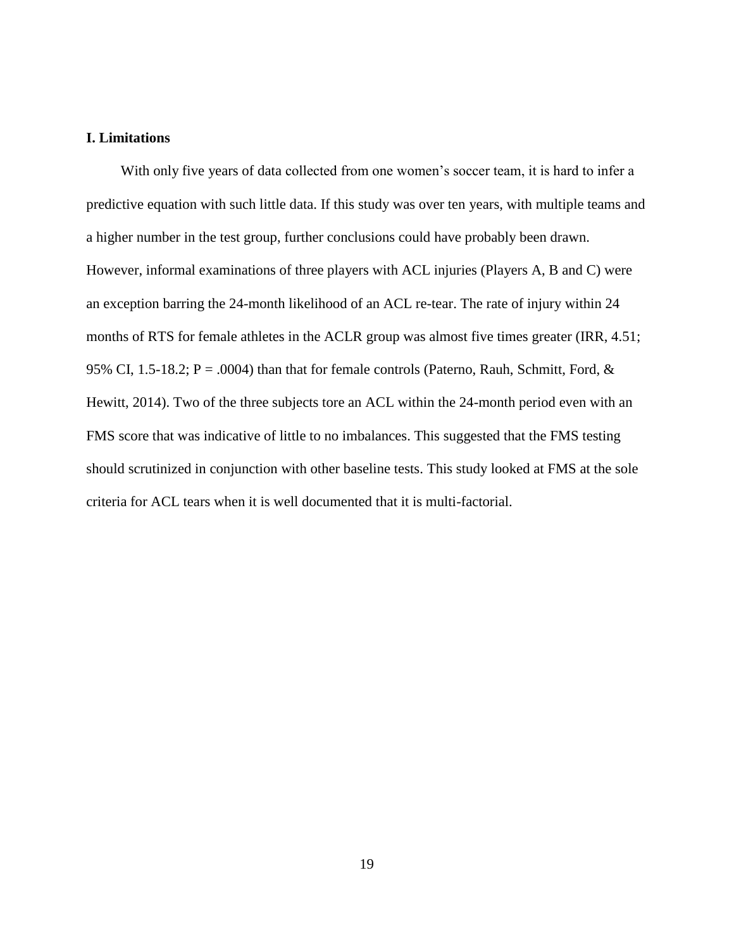#### **I. Limitations**

With only five years of data collected from one women's soccer team, it is hard to infer a predictive equation with such little data. If this study was over ten years, with multiple teams and a higher number in the test group, further conclusions could have probably been drawn. However, informal examinations of three players with ACL injuries (Players A, B and C) were an exception barring the 24-month likelihood of an ACL re-tear. The rate of injury within 24 months of RTS for female athletes in the ACLR group was almost five times greater (IRR, 4.51; 95% CI, 1.5-18.2;  $P = .0004$ ) than that for female controls (Paterno, Rauh, Schmitt, Ford, & Hewitt, 2014). Two of the three subjects tore an ACL within the 24-month period even with an FMS score that was indicative of little to no imbalances. This suggested that the FMS testing should scrutinized in conjunction with other baseline tests. This study looked at FMS at the sole criteria for ACL tears when it is well documented that it is multi-factorial.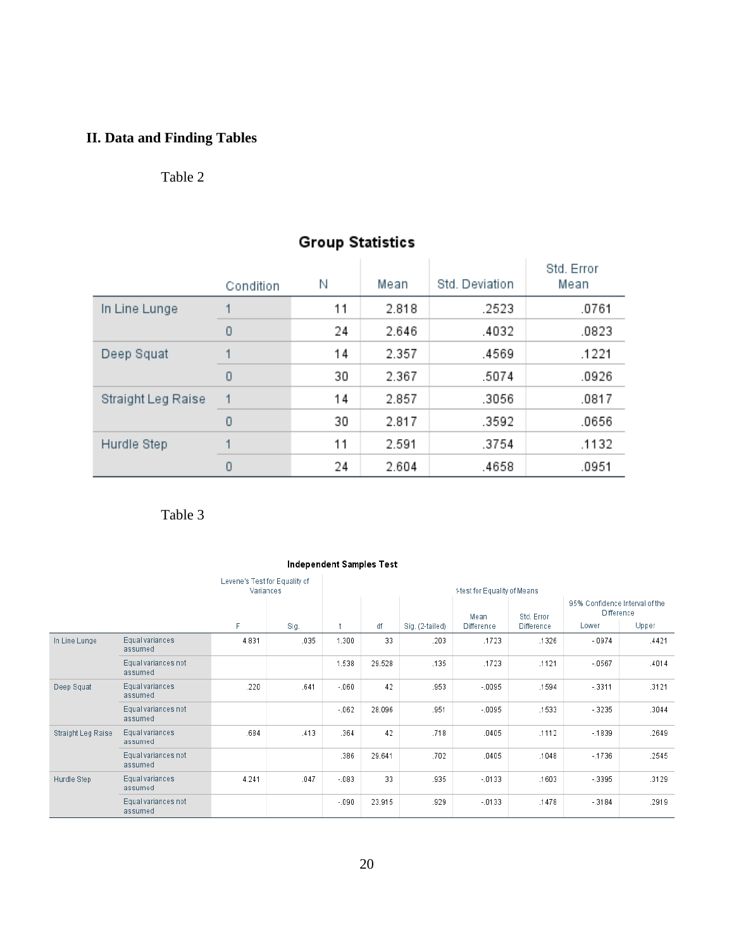## **II. Data and Finding Tables**

## Table 2

|                    | Condition | Ν  | Mean  | Std. Deviation | Std. Error<br>Mean |
|--------------------|-----------|----|-------|----------------|--------------------|
| In Line Lunge      |           | 11 | 2.818 | .2523          | .0761              |
|                    | 0         | 24 | 2.646 | .4032          | .0823              |
| Deep Squat         |           | 14 | 2.357 | .4569          | .1221              |
|                    | $\Omega$  | 30 | 2.367 | .5074          | .0926              |
| Straight Leg Raise |           | 14 | 2.857 | .3056          | .0817              |
|                    | $\Omega$  | 30 | 2.817 | .3592          | .0656              |
| Hurdle Step        |           | 11 | 2.591 | .3754          | .1132              |
|                    | 0         | 24 | 2.604 | .4658          | .0951              |

## **Group Statistics**

Table 3

#### **Independent Samples Test**

|                    |                                | Levene's Test for Equality of<br>Variances |      | t-test for Equality of Means |        |                 |                    |                                 |                                                                           |       |
|--------------------|--------------------------------|--------------------------------------------|------|------------------------------|--------|-----------------|--------------------|---------------------------------|---------------------------------------------------------------------------|-------|
|                    |                                | F.                                         | Sig. |                              | df     | Sig. (2-tailed) | Mean<br>Difference | Std. Error<br><b>Difference</b> | Lower                                                                     | Upper |
| In Line Lunge      | Equal variances<br>assumed     | 4.831                                      | .035 | 1.300                        | 33     | .203            | .1723              | .1326                           | $-0974$<br>$-0567$<br>$-3311$<br>$-3235$<br>$-1839$<br>$-1736$            | .4421 |
|                    | Equal variances not<br>assumed |                                            |      | 1.538                        | 29.528 | .135            | .1723              | .1121                           |                                                                           | .4014 |
| Deep Squat         | Equal variances<br>assumed     | .220                                       | .641 | $-060$                       | 42     | .953            | $-0095$            | .1594                           |                                                                           | .3121 |
|                    | Equal variances not<br>assumed |                                            |      | $-062$                       | 28.096 | .951            | $-0095$            | .1533                           |                                                                           | .3044 |
| Straight Leg Raise | Equal variances<br>assumed     | .684                                       | .413 | .364                         | 42     | .718            | .0405              | .1112                           | 95% Confidence Interval of the<br><b>Difference</b><br>$-3395$<br>$-3184$ | .2649 |
|                    | Equal variances not<br>assumed |                                            |      | .386                         | 29.641 | .702            | .0405              | .1048                           |                                                                           | .2545 |
| Hurdle Step        | Equal variances<br>assumed     | 4.241                                      | .047 | $-083$                       | 33     | .935            | $-0133$            | .1603                           |                                                                           | .3129 |
|                    | Equal variances not<br>assumed |                                            |      | $-0.90$                      | 23.915 | .929            | $-0.133$           | .1478                           |                                                                           | .2919 |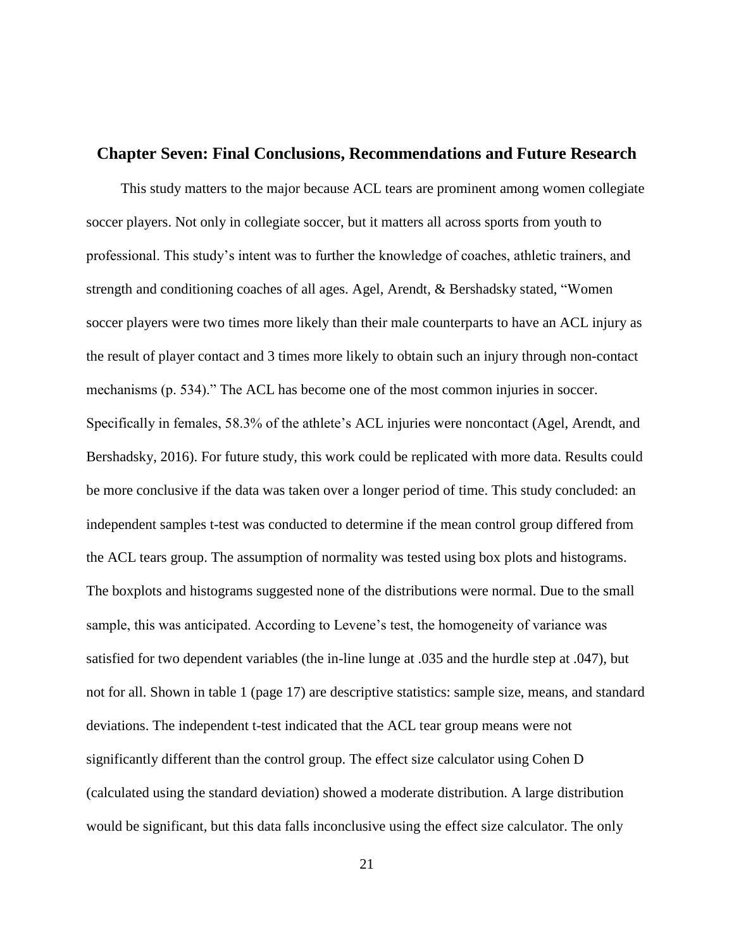#### **Chapter Seven: Final Conclusions, Recommendations and Future Research**

This study matters to the major because ACL tears are prominent among women collegiate soccer players. Not only in collegiate soccer, but it matters all across sports from youth to professional. This study's intent was to further the knowledge of coaches, athletic trainers, and strength and conditioning coaches of all ages. Agel, Arendt, & Bershadsky stated, "Women soccer players were two times more likely than their male counterparts to have an ACL injury as the result of player contact and 3 times more likely to obtain such an injury through non-contact mechanisms (p. 534)." The ACL has become one of the most common injuries in soccer. Specifically in females, 58.3% of the athlete's ACL injuries were noncontact (Agel, Arendt, and Bershadsky, 2016). For future study, this work could be replicated with more data. Results could be more conclusive if the data was taken over a longer period of time. This study concluded: an independent samples t-test was conducted to determine if the mean control group differed from the ACL tears group. The assumption of normality was tested using box plots and histograms. The boxplots and histograms suggested none of the distributions were normal. Due to the small sample, this was anticipated. According to Levene's test, the homogeneity of variance was satisfied for two dependent variables (the in-line lunge at .035 and the hurdle step at .047), but not for all. Shown in table 1 (page 17) are descriptive statistics: sample size, means, and standard deviations. The independent t-test indicated that the ACL tear group means were not significantly different than the control group. The effect size calculator using Cohen D (calculated using the standard deviation) showed a moderate distribution. A large distribution would be significant, but this data falls inconclusive using the effect size calculator. The only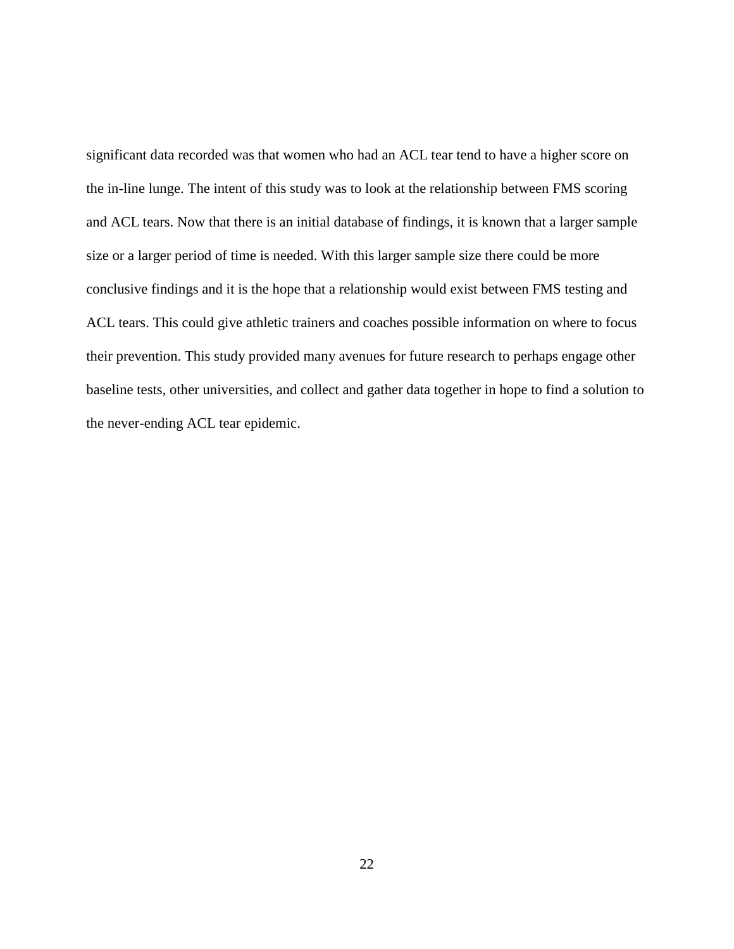significant data recorded was that women who had an ACL tear tend to have a higher score on the in-line lunge. The intent of this study was to look at the relationship between FMS scoring and ACL tears. Now that there is an initial database of findings, it is known that a larger sample size or a larger period of time is needed. With this larger sample size there could be more conclusive findings and it is the hope that a relationship would exist between FMS testing and ACL tears. This could give athletic trainers and coaches possible information on where to focus their prevention. This study provided many avenues for future research to perhaps engage other baseline tests, other universities, and collect and gather data together in hope to find a solution to the never-ending ACL tear epidemic.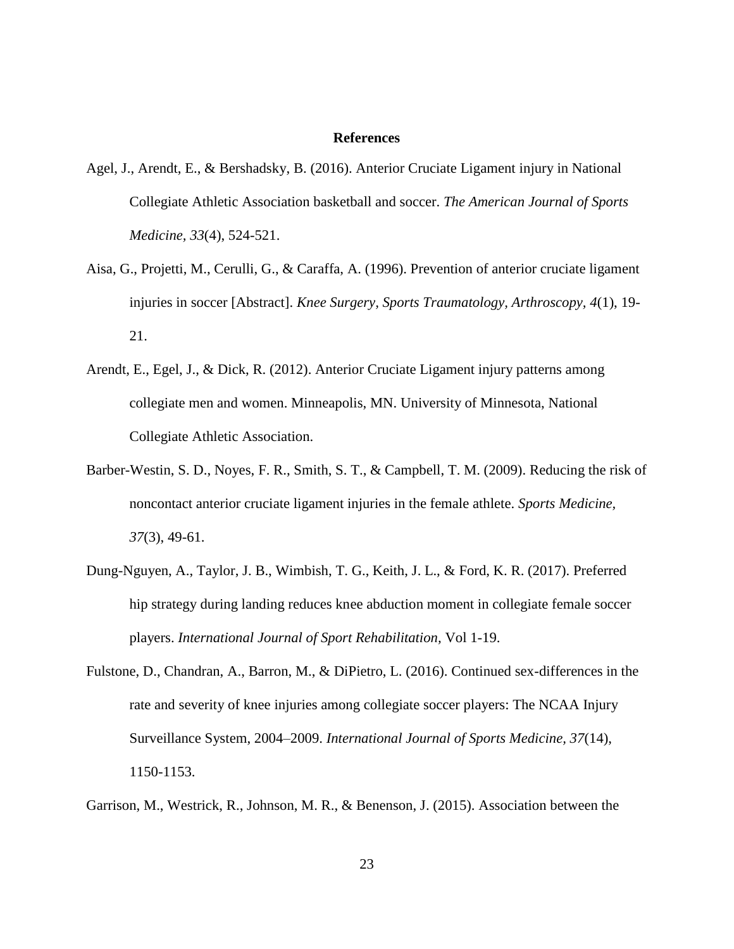#### **References**

- Agel, J., Arendt, E., & Bershadsky, B. (2016). Anterior Cruciate Ligament injury in National Collegiate Athletic Association basketball and soccer. *The American Journal of Sports Medicine, 33*(4), 524-521.
- Aisa, G., Projetti, M., Cerulli, G., & Caraffa, A. (1996). Prevention of anterior cruciate ligament injuries in soccer [Abstract]. *Knee Surgery, Sports Traumatology, Arthroscopy, 4*(1), 19- 21.
- Arendt, E., Egel, J., & Dick, R. (2012). Anterior Cruciate Ligament injury patterns among collegiate men and women. Minneapolis, MN. University of Minnesota, National Collegiate Athletic Association.
- Barber-Westin, S. D., Noyes, F. R., Smith, S. T., & Campbell, T. M. (2009). Reducing the risk of noncontact anterior cruciate ligament injuries in the female athlete. *Sports Medicine, 37*(3), 49-61.
- Dung-Nguyen, A., Taylor, J. B., Wimbish, T. G., Keith, J. L., & Ford, K. R. (2017). Preferred hip strategy during landing reduces knee abduction moment in collegiate female soccer players. *International Journal of Sport Rehabilitation,* Vol 1-19.
- Fulstone, D., Chandran, A., Barron, M., & DiPietro, L. (2016). Continued sex-differences in the rate and severity of knee injuries among collegiate soccer players: The NCAA Injury Surveillance System, 2004–2009. *International Journal of Sports Medicine, 37*(14), 1150-1153.

Garrison, M., Westrick, R., Johnson, M. R., & Benenson, J. (2015). Association between the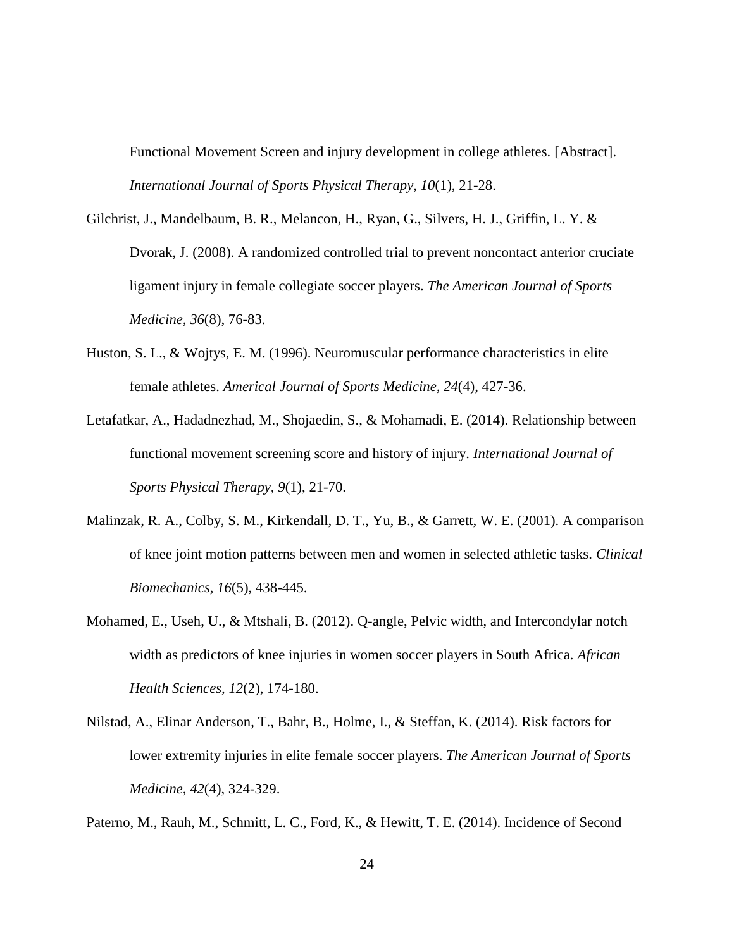Functional Movement Screen and injury development in college athletes. [Abstract]. *International Journal of Sports Physical Therapy, 10*(1), 21-28.

- Gilchrist, J., Mandelbaum, B. R., Melancon, H., Ryan, G., Silvers, H. J., Griffin, L. Y. & Dvorak, J. (2008). A randomized controlled trial to prevent noncontact anterior cruciate ligament injury in female collegiate soccer players. *The American Journal of Sports Medicine, 36*(8), 76-83.
- Huston, S. L., & Wojtys, E. M. (1996). Neuromuscular performance characteristics in elite female athletes. *Americal Journal of Sports Medicine, 24*(4), 427-36.
- Letafatkar, A., Hadadnezhad, M., Shojaedin, S., & Mohamadi, E. (2014). Relationship between functional movement screening score and history of injury. *International Journal of Sports Physical Therapy, 9*(1), 21-70.
- Malinzak, R. A., Colby, S. M., Kirkendall, D. T., Yu, B., & Garrett, W. E. (2001). A comparison of knee joint motion patterns between men and women in selected athletic tasks. *Clinical Biomechanics, 16*(5), 438-445.
- Mohamed, E., Useh, U., & Mtshali, B. (2012). Q-angle, Pelvic width, and Intercondylar notch width as predictors of knee injuries in women soccer players in South Africa. *African Health Sciences, 12*(2), 174-180.
- Nilstad, A., Elinar Anderson, T., Bahr, B., Holme, I., & Steffan, K. (2014). Risk factors for lower extremity injuries in elite female soccer players. *The American Journal of Sports Medicine, 42*(4), 324-329.

Paterno, M., Rauh, M., Schmitt, L. C., Ford, K., & Hewitt, T. E. (2014). Incidence of Second